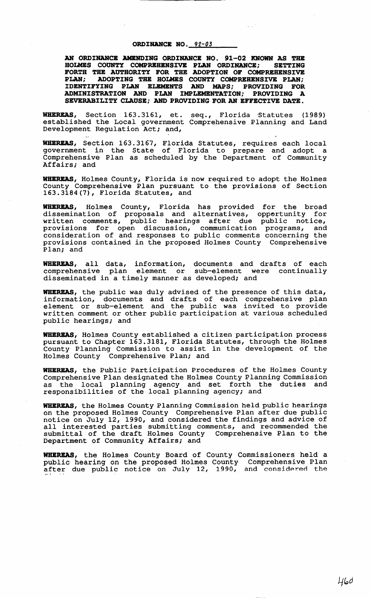## **ORDINANCE NO. 92-03**

AN ORDINANCE AMENDING ORDINANCE NO. 91-02 KNOWN AS THE **HOLMES COUNTY COMPRBBBHSIVE PLAN ORDINANCE; SETTING FORTH THE AUTHORITY FOR THE ADOPTION OF COMPREHENSIVE PLAN; ADOPTING TBB HOLMES COUNTY COMPREHENSIVE PLAN; IDENTIFYING PLAN ELEMENTS AND MAPS; PROVIDING FOR ADMINISTRATION AND PLAN IMPLEMENTATION; PROVIDING A SEVERABILITY CLAUSE; AND PROVIDING FOR AN EFFECTIVE DATE.** 

WHEREAS, Section 163.3161, et. seq., Florida Statutes (1989) established the Local government Comprehensive Planning and Land Development Regulation Act; and,

**WHEREAS,** Section 163.3167, Florida Statutes, requires each local government in the State of Florida to prepare and adopt a Comprehensive Plan as scheduled by the Department of Community Affairs; and

**WBBREAS,** Holmes County, Florida is now required to adopt the Holmes County Comprehensive Plan pursuant to the provisions of Section 163.3184(7), Florida Statutes, and

**WHEREAS,** Holmes County, Florida has provided for the broad dissemination of proposals and alternatives, opportunity for written comments, public hearings after due public notice, provisions for open discussion, communication programs, and consideration of and responses to public comments concerning the provisions contained in the proposed Holmes County Comprehensive Plan; and

**WHEREAS,** all data, information, documents and drafts of each comprehensive plan element or sub-element were continually disseminated in a timely manner as developed; and

**WHEREAS,** the public was duly advised of the presence of this data, information, documents and drafts of each comprehensive plan element or sub-element and the public was invited to provide written comment or other public participation at various scheduled public hearings; and

**WHEREAS,** Holmes County established a citizen participation process pursuant to Chapter 163.3181, Florida Statutes, through the Holmes County Planning Commission to assist in the development of the Holmes County Comprehensive Plan; and

**WHEREAS,** the Public Participation Procedures of the Holmes County Comprehensive Plan designated the Holmes County Planning Commission as the local planning agency and set forth the duties and as the rocal planning agency and see form the

**WHEREAS,** the Holmes County Planning Commission held public hearings on the proposed Holmes County Comprehensive Plan after due public notice on July 12, 1990, and considered the findings and advice of notice on oury 12, 1990, and considered the findings and advice of<br>all interested parties submitting comments, and recommended the submittal of the draft Holmes County Comprehensive Plan to the Department of Community Affairs; and

**WHEREAS,** the Holmes County Board of County Commissioners held a public hearing on the proposed Holmes County Comprehensive Plan public healing on the proposed homes county comprehensive from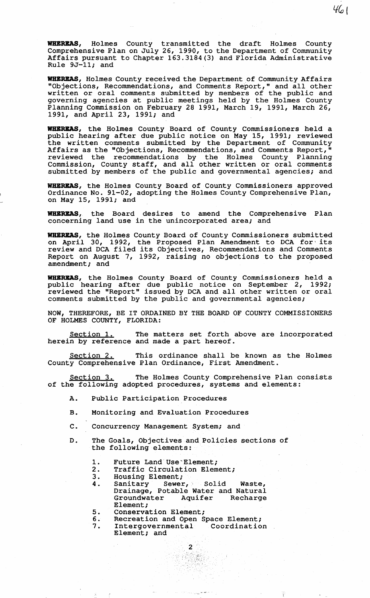**WBBRBAS,** Holmes County transmitted the draft Holmes County Comprehensive Plan on July 26, 1990, to the Department of Community Affairs pursuant to Chapter 163.3184(3) and Florida Administrative Rule 9J-11; and

 $46|$ 

**WBBRBAS,** Holmes County received the Department of Community Affairs "Objections, Recommendations, and Comments Report," and all other written or oral comments submitted by members of the public and governing agencies at public meetings held by the Holmes County Planning Commission on February 28 1991, March 19, 1991, March 26, 1991, and April 23, 1991; and

**WBBRBAS,** the Holmes County Board of County Commissioners held a public hearing after due public notice on May 15, 1991; reviewed the written comments submitted by the Department of Community Affairs as the "Objections, Recommendations, and Comments Report," reviewed the recommendations by the Holmes County Planning Commission, County staff, and all other written or oral comments submitted by members of the public and governmental agencies; and

**WBBRBAS,** the Holmes County Board of County Commissioners approved Ordinance No. 91-02, adopting the Holmes County Comprehensive Plan, on May 15, 1991; and

**WBBRBAS,** the Board desires to amend the Comprehensive Plan concerning land use in the unincorporated area; and

**WBBRBAS,** the Holmes County Board of County Commissioners submitted on April 30, 1992, the Proposed Plan Amendment to DCA for' its on April 30, 1992, the Froposed Fran Americanent to DCA for its<br>review and DCA filed its Objectives, Recommendations and Comments Report on August 7, 1992, raising no objections to the proposed amendment; and

**WBBRBAS,** the Holmes County Board of County Commissioners held a public hearing after due public notice on September 2, 1992; reviewed the "Report" issued by DCA and all other written or oral comments submitted by the public and governmental agencies;

NOW, THEREFORE, BE IT ORDAINED BY THE BOARD OF COUNTY COMMISSIONERS OF HOLMES COUNTY, FLORIDA:

Section 1. The matters set forth above are incorporated herein by reference and made a part hereof.

Section 2. This ordinance shall be known as the Holmes County Comprehensive Plan Ordinance, First Amendment.

Section 3. The Holmes County Comprehensive Plan consists of the following adopted procedures, systems and elements:

A. Public Participation Procedures

B. Monitoring and Evaluation Procedures

C. Concurrency Management System; and

- D. The Goals, Objectives and Policies sections of the following elements:
	- 1. Future Land Use Element;<br>2. Traffic Circulation Elem
	- 2. Traffic Circulation Element;<br>3. Housing Element;
	-
	- 3. Housing Element;<br>4. Sanitary Sewer 4. Sanitary Sewer,' Solid Waste, Drainage, Potable Water and Natural Groundwater Aquifer Recharge Groundwater<br>Element;
	- 5. Conservation Element;
	- 6. Recreation and Open Space Element;<br>7. Intergovernmental Coordination
	- Intergovernmental Element; and

2 ', ,,., -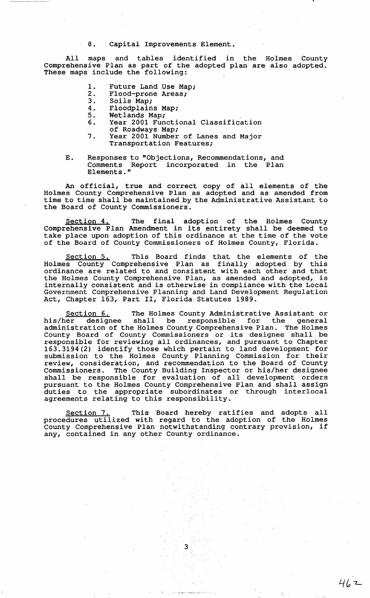8. Capital Improvements Element.

All maps and tables identified in the Holmes County Comprehensive Plan as part of the adopted plan are also adopted. These maps include the following:

- 1. Future Land Use Map;<br>2. Flood-prone Areas;
- 2. Flood-prone Areas;<br>3. Soils Map;
- 3. Soils Map;<br>4. Floodplain
- 4. Floodplains Map;<br>5. Wetlands Map;
- 5. Wetlands Map;<br>6. Year 2001 Fun
- Year 2001 Functional Classification
- of Roadways Map;
- 7. Year 2001 Number of Lanes and Major Transportation Features;
- E. Responses to "Objections, Recommendations, and Comments Report incorporated in the Plan Elements."

An official, true and correct copy of all elements of the Holmes County Comprehensive Plan as adopted and as amerided from time to time shall be maintained by the Administrative Assistant to the Board of County Commissioners.

Section 4. The final adoption of the Holmes County Comprehensive Plan Amendment in its entirety shall be deemed to take place upon adoption of this ordinance at the time of the vote of the Board of County Commissioners of Holmes County, Florida.

Section 5. This Board finds that the elements of the Holmes County Comprehensive Plan as finally adopted by this ordinance are related to and consistent with each other and that the Holmes County Comprehensive Plan, as amended and adopted, is internally consistent and is otherwise in compliance with the Local Government Comprehensive Planning and Land Development Regulation Act, Chapter 163, Part II, Florida Statutes 1989.

Section 6. The Holmes County Administrative Assistant or his/her designee shall be responsible for the general his/her designee shall be responsible for the general administration of the Holmes County Comprehensive Plan. The Holmes County Board of County Commissioners or its designee shall be responsible for reviewing all ordinances, and pursuant to Chapter 163.3194(2) identify those which pertain to land development for submission to the Holmes County Planning Commission for their review, consideration, and recommendation to the Board of County Commissioners. The County Building Inspector or his/her designee shall be responsible for evaluation of all development orders pursuant to the Holmes County Comprehensive Plan and shall assign duties to the appropriate subordinates or through interlocal ducies to the appropriate substitutions of

Section 7. This Board hereby ratifies and adopts all procedures utilized with regard to the adoption of the Holmes County Comprehensive Plan notwithstanding contrary provision, if any, contained in any other County ordinance.

3

 $462$